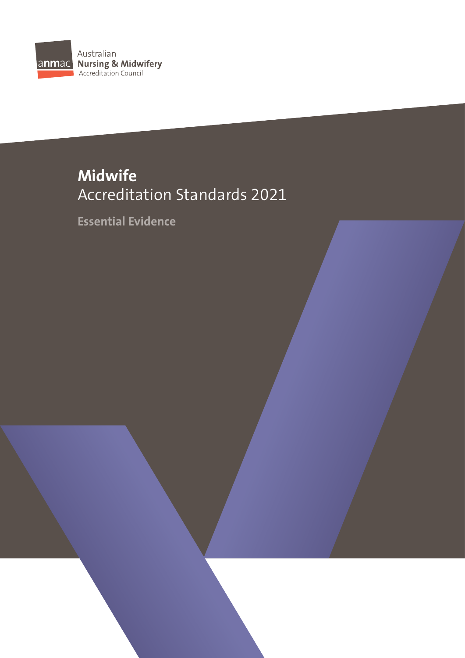

# **Midwife** Accreditation Standards 2021

**Essential Evidence**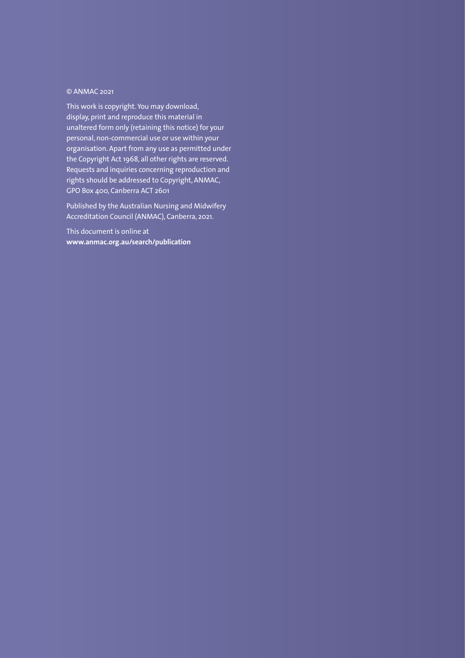### © ANMAC 2021

This work is copyright. You may download, display, print and reproduce this material in unaltered form only (retaining this notice) for your personal, non-commercial use or use within your organisation. Apart from any use as permitted under the Copyright Act 1968, all other rights are reserved. Requests and inquiries concerning reproduction and rights should be addressed to Copyright, ANMAC, GPO Box 400, Canberra ACT 2601

Published by the Australian Nursing and Midwifery Accreditation Council (ANMAC), Canberra, 2021.

This document is online at **[www.anmac.org.au/search/publication](https://www.anmac.org.au/search/publication)**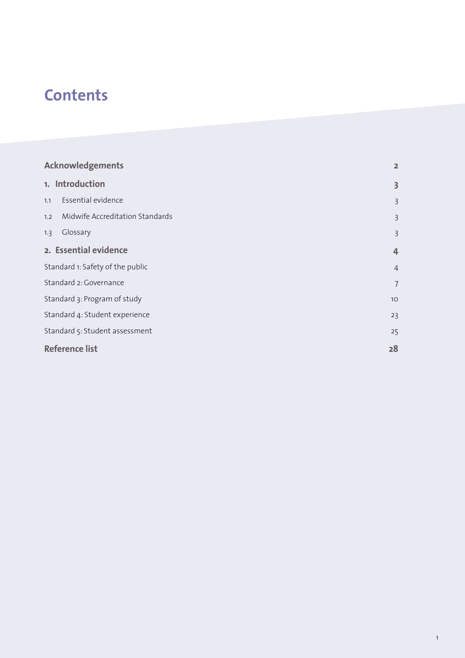# **Contents**

| <b>Acknowledgements</b>                | $\overline{2}$  |
|----------------------------------------|-----------------|
| 1. Introduction                        | 3               |
| Essential evidence<br>1.1              | $\overline{3}$  |
| Midwife Accreditation Standards<br>1.2 | $\overline{3}$  |
| Glossary<br>1.3                        | 3               |
| 2. Essential evidence                  | $\overline{4}$  |
| Standard 1: Safety of the public       | $\overline{4}$  |
| Standard 2: Governance                 | 7               |
| Standard 3: Program of study           | 10 <sup>°</sup> |
| Standard 4: Student experience         | 23              |
| Standard 5: Student assessment         | 25              |
| <b>Reference list</b>                  | 28              |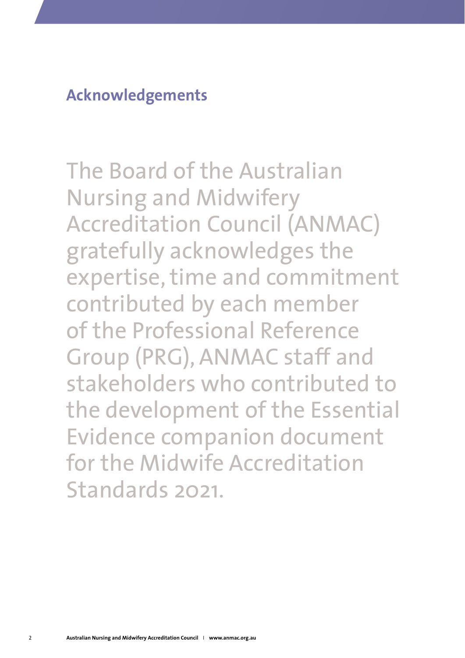<span id="page-3-0"></span>**Acknowledgements**

The Board of the Australian Nursing and Midwifery Accreditation Council (ANMAC) gratefully acknowledges the expertise, time and commitment contributed by each member of the Professional Reference Group (PRG), ANMAC staff and stakeholders who contributed to the development of the Essential Evidence companion document for the Midwife Accreditation Standards 2021.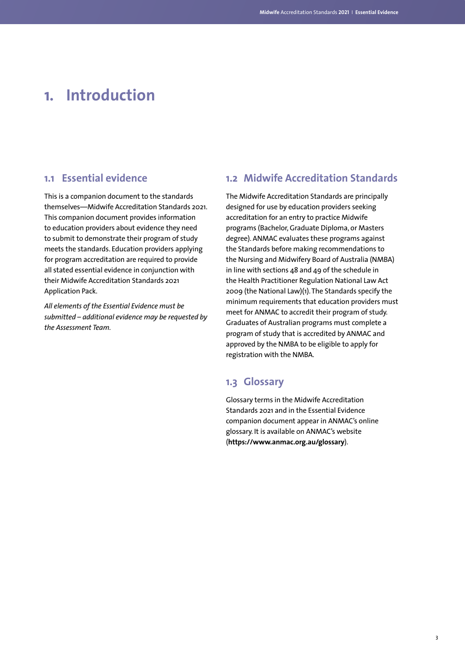# <span id="page-4-0"></span>**1. Introduction**

### **1.1 Essential evidence**

This is a companion document to the standards themselves—Midwife Accreditation Standards 2021. This companion document provides information to education providers about evidence they need to submit to demonstrate their program of study meets the standards. Education providers applying for program accreditation are required to provide all stated essential evidence in conjunction with their Midwife Accreditation Standards 2021 Application Pack.

*All elements of the Essential Evidence must be submitted – additional evidence may be requested by the Assessment Team.*

## **1.2 Midwife Accreditation Standards**

The Midwife Accreditation Standards are principally designed for use by education providers seeking accreditation for an entry to practice Midwife programs (Bachelor, Graduate Diploma, or Masters degree). ANMAC evaluates these programs against the Standards before making recommendations to the Nursing and Midwifery Board of Australia (NMBA) in line with sections  $\Delta 8$  and  $\Delta 9$  of the schedule in the Health Practitioner Regulation National Law Act 2009 (the National Law)(1). The Standards specify the minimum requirements that education providers must meet for ANMAC to accredit their program of study. Graduates of Australian programs must complete a program of study that is accredited by ANMAC and approved by the NMBA to be eligible to apply for registration with the NMBA.

### **1.3 Glossary**

Glossary terms in the Midwife Accreditation Standards 2021 and in the Essential Evidence companion document appear in ANMAC's online glossary. It is available on ANMAC's website (**<https://www.anmac.org.au/glossary>**).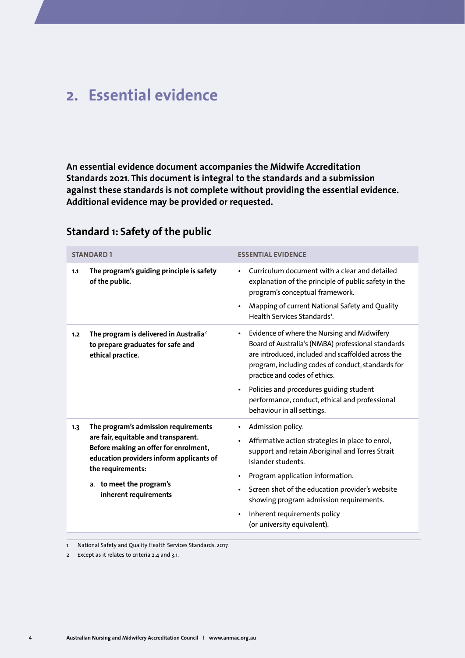# <span id="page-5-0"></span>**2. Essential evidence**

**An essential evidence document accompanies the Midwife Accreditation Standards 2021. This document is integral to the standards and a submission against these standards is not complete without providing the essential evidence. Additional evidence may be provided or requested.** 

|     | <b>STANDARD1</b>                                                                                                                                                                                                                            | <b>ESSENTIAL EVIDENCE</b>                                                                                                                                                                                                                                                                                                                                                                           |
|-----|---------------------------------------------------------------------------------------------------------------------------------------------------------------------------------------------------------------------------------------------|-----------------------------------------------------------------------------------------------------------------------------------------------------------------------------------------------------------------------------------------------------------------------------------------------------------------------------------------------------------------------------------------------------|
| 1.1 | The program's guiding principle is safety<br>of the public.                                                                                                                                                                                 | Curriculum document with a clear and detailed<br>explanation of the principle of public safety in the<br>program's conceptual framework.<br>Mapping of current National Safety and Quality<br>Health Services Standards <sup>1</sup> .                                                                                                                                                              |
| 1.2 | The program is delivered in Australia <sup>2</sup><br>to prepare graduates for safe and<br>ethical practice.                                                                                                                                | Evidence of where the Nursing and Midwifery<br>$\bullet$<br>Board of Australia's (NMBA) professional standards<br>are introduced, included and scaffolded across the<br>program, including codes of conduct, standards for<br>practice and codes of ethics.<br>Policies and procedures guiding student<br>$\bullet$<br>performance, conduct, ethical and professional<br>behaviour in all settings. |
| 1.3 | The program's admission requirements<br>are fair, equitable and transparent.<br>Before making an offer for enrolment,<br>education providers inform applicants of<br>the requirements:<br>a. to meet the program's<br>inherent requirements | Admission policy.<br>$\bullet$<br>Affirmative action strategies in place to enrol,<br>support and retain Aboriginal and Torres Strait<br>Islander students.<br>Program application information.<br>$\bullet$<br>Screen shot of the education provider's website<br>$\bullet$<br>showing program admission requirements.<br>Inherent requirements policy<br>$\bullet$<br>(or university equivalent). |

## **Standard 1: Safety of the public**

1 National Safety and Quality Health Services Standards. 2017.

2 Except as it relates to criteria 2.4 and 3.1.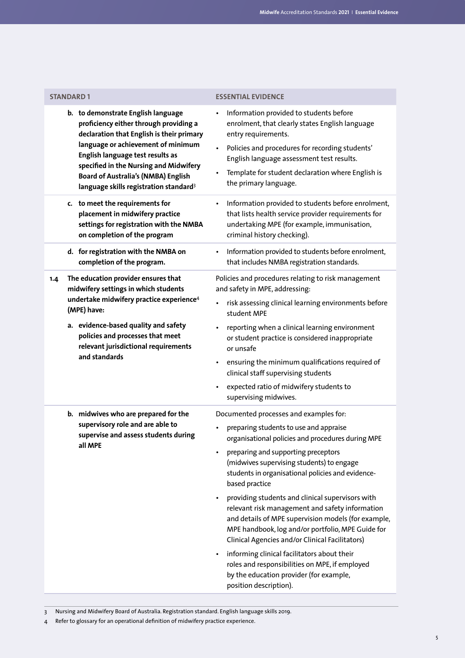| <b>STANDARD 1</b>                                                                                                                                                                                                                                                                                                                                 | <b>ESSENTIAL EVIDENCE</b>                                                                                                                                                                                                                                                                                                                                                                                                                                                                                                                                                                                                                                                                                                                                              |
|---------------------------------------------------------------------------------------------------------------------------------------------------------------------------------------------------------------------------------------------------------------------------------------------------------------------------------------------------|------------------------------------------------------------------------------------------------------------------------------------------------------------------------------------------------------------------------------------------------------------------------------------------------------------------------------------------------------------------------------------------------------------------------------------------------------------------------------------------------------------------------------------------------------------------------------------------------------------------------------------------------------------------------------------------------------------------------------------------------------------------------|
| b. to demonstrate English language<br>proficiency either through providing a<br>declaration that English is their primary<br>language or achievement of minimum<br>English language test results as<br>specified in the Nursing and Midwifery<br><b>Board of Australia's (NMBA) English</b><br>language skills registration standard <sup>3</sup> | Information provided to students before<br>$\bullet$<br>enrolment, that clearly states English language<br>entry requirements.<br>Policies and procedures for recording students'<br>$\bullet$<br>English language assessment test results.<br>Template for student declaration where English is<br>$\bullet$<br>the primary language.                                                                                                                                                                                                                                                                                                                                                                                                                                 |
| c. to meet the requirements for<br>placement in midwifery practice<br>settings for registration with the NMBA<br>on completion of the program                                                                                                                                                                                                     | Information provided to students before enrolment,<br>$\bullet$<br>that lists health service provider requirements for<br>undertaking MPE (for example, immunisation,<br>criminal history checking).                                                                                                                                                                                                                                                                                                                                                                                                                                                                                                                                                                   |
| d. for registration with the NMBA on<br>completion of the program.                                                                                                                                                                                                                                                                                | Information provided to students before enrolment,<br>$\bullet$<br>that includes NMBA registration standards.                                                                                                                                                                                                                                                                                                                                                                                                                                                                                                                                                                                                                                                          |
| The education provider ensures that<br>1.4<br>midwifery settings in which students<br>undertake midwifery practice experience <sup>4</sup><br>(MPE) have:<br>a. evidence-based quality and safety<br>policies and processes that meet<br>relevant jurisdictional requirements<br>and standards                                                    | Policies and procedures relating to risk management<br>and safety in MPE, addressing:<br>risk assessing clinical learning environments before<br>$\bullet$<br>student MPE<br>reporting when a clinical learning environment<br>$\bullet$<br>or student practice is considered inappropriate<br>or unsafe<br>ensuring the minimum qualifications required of<br>clinical staff supervising students<br>expected ratio of midwifery students to<br>$\bullet$<br>supervising midwives.                                                                                                                                                                                                                                                                                    |
| b. midwives who are prepared for the<br>supervisory role and are able to<br>supervise and assess students during<br>all MPE                                                                                                                                                                                                                       | Documented processes and examples for:<br>preparing students to use and appraise<br>organisational policies and procedures during MPE<br>preparing and supporting preceptors<br>(midwives supervising students) to engage<br>students in organisational policies and evidence-<br>based practice<br>providing students and clinical supervisors with<br>$\bullet$<br>relevant risk management and safety information<br>and details of MPE supervision models (for example,<br>MPE handbook, log and/or portfolio, MPE Guide for<br>Clinical Agencies and/or Clinical Facilitators)<br>informing clinical facilitators about their<br>$\bullet$<br>roles and responsibilities on MPE, if employed<br>by the education provider (for example,<br>position description). |

3 Nursing and Midwifery Board of Australia. Registration standard. English language skills 2019.

4 Refer to glossary for an operational definition of midwifery practice experience.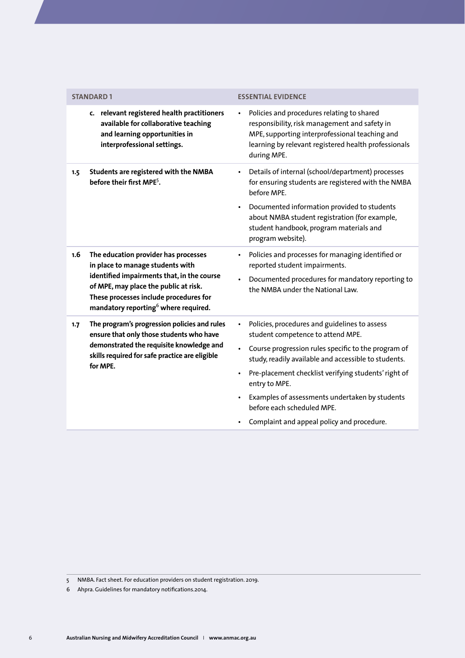| <b>STANDARD1</b><br><b>ESSENTIAL EVIDENCE</b>                                                                                                                                                                                                                        |                                                                                                                                                                                                                                                                                                                                                                                                                                    |
|----------------------------------------------------------------------------------------------------------------------------------------------------------------------------------------------------------------------------------------------------------------------|------------------------------------------------------------------------------------------------------------------------------------------------------------------------------------------------------------------------------------------------------------------------------------------------------------------------------------------------------------------------------------------------------------------------------------|
| c. relevant registered health practitioners<br>available for collaborative teaching<br>and learning opportunities in<br>interprofessional settings.                                                                                                                  | Policies and procedures relating to shared<br>responsibility, risk management and safety in<br>MPE, supporting interprofessional teaching and<br>learning by relevant registered health professionals<br>during MPE.                                                                                                                                                                                                               |
| Students are registered with the NMBA<br>1.5<br>before their first MPE <sup>5</sup> .                                                                                                                                                                                | Details of internal (school/department) processes<br>for ensuring students are registered with the NMBA<br>before MPE.<br>Documented information provided to students<br>about NMBA student registration (for example,<br>student handbook, program materials and<br>program website).                                                                                                                                             |
| The education provider has processes<br>1.6<br>in place to manage students with<br>identified impairments that, in the course<br>of MPE, may place the public at risk.<br>These processes include procedures for<br>mandatory reporting <sup>6</sup> where required. | Policies and processes for managing identified or<br>reported student impairments.<br>Documented procedures for mandatory reporting to<br>the NMBA under the National Law.                                                                                                                                                                                                                                                         |
| The program's progression policies and rules<br>1.7<br>ensure that only those students who have<br>demonstrated the requisite knowledge and<br>skills required for safe practice are eligible<br>for MPE.                                                            | Policies, procedures and guidelines to assess<br>$\bullet$<br>student competence to attend MPE.<br>Course progression rules specific to the program of<br>study, readily available and accessible to students.<br>Pre-placement checklist verifying students' right of<br>$\bullet$<br>entry to MPE.<br>Examples of assessments undertaken by students<br>before each scheduled MPE.<br>Complaint and appeal policy and procedure. |

<sup>5</sup> NMBA. Fact sheet. For education providers on student registration. 2019.

<sup>6</sup> Ahpra. Guidelines for mandatory notifications.2014.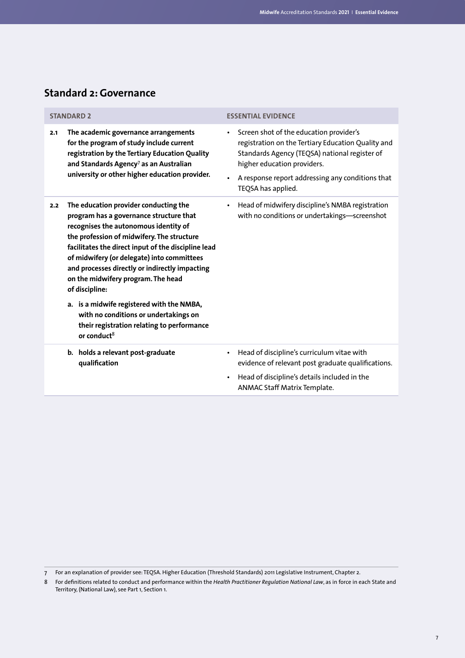## <span id="page-8-0"></span>**Standard 2: Governance**

| <b>STANDARD 2</b>                                                                                                                                                                                                                                                                                                                                                                                                                                                                                                                                            | <b>ESSENTIAL EVIDENCE</b>                                                                                                                                                                                                                                            |
|--------------------------------------------------------------------------------------------------------------------------------------------------------------------------------------------------------------------------------------------------------------------------------------------------------------------------------------------------------------------------------------------------------------------------------------------------------------------------------------------------------------------------------------------------------------|----------------------------------------------------------------------------------------------------------------------------------------------------------------------------------------------------------------------------------------------------------------------|
| The academic governance arrangements<br>2.1<br>for the program of study include current<br>registration by the Tertiary Education Quality<br>and Standards Agency <sup>7</sup> as an Australian<br>university or other higher education provider.                                                                                                                                                                                                                                                                                                            | Screen shot of the education provider's<br>$\bullet$<br>registration on the Tertiary Education Quality and<br>Standards Agency (TEQSA) national register of<br>higher education providers.<br>A response report addressing any conditions that<br>TEQSA has applied. |
| The education provider conducting the<br>2.2<br>program has a governance structure that<br>recognises the autonomous identity of<br>the profession of midwifery. The structure<br>facilitates the direct input of the discipline lead<br>of midwifery (or delegate) into committees<br>and processes directly or indirectly impacting<br>on the midwifery program. The head<br>of discipline:<br>a. is a midwife registered with the NMBA,<br>with no conditions or undertakings on<br>their registration relating to performance<br>or conduct <sup>8</sup> | Head of midwifery discipline's NMBA registration<br>$\bullet$<br>with no conditions or undertakings-screenshot                                                                                                                                                       |
| b. holds a relevant post-graduate<br>qualification                                                                                                                                                                                                                                                                                                                                                                                                                                                                                                           | Head of discipline's curriculum vitae with<br>٠<br>evidence of relevant post graduate qualifications.<br>Head of discipline's details included in the<br>٠<br>ANMAC Staff Matrix Template.                                                                           |

<sup>7</sup> For an explanation of provider see: TEQSA. Higher Education (Threshold Standards) 2011 Legislative Instrument, Chapter 2.

<sup>8</sup> For definitions related to conduct and performance within the *Health Practitioner Regulation National Law*, as in force in each State and Territory, (National Law), see Part 1, Section 1.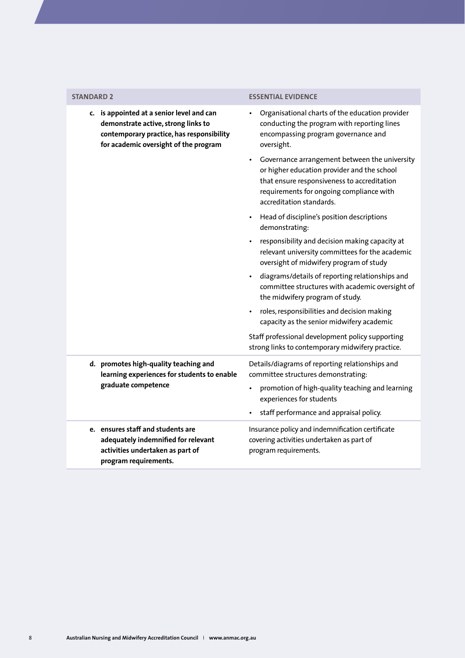| <b>STANDARD 2</b>                                                                                                                                                      | <b>ESSENTIAL EVIDENCE</b>                                                                                                                                                                                           |
|------------------------------------------------------------------------------------------------------------------------------------------------------------------------|---------------------------------------------------------------------------------------------------------------------------------------------------------------------------------------------------------------------|
| c. is appointed at a senior level and can<br>demonstrate active, strong links to<br>contemporary practice, has responsibility<br>for academic oversight of the program | Organisational charts of the education provider<br>conducting the program with reporting lines<br>encompassing program governance and<br>oversight.                                                                 |
|                                                                                                                                                                        | Governance arrangement between the university<br>or higher education provider and the school<br>that ensure responsiveness to accreditation<br>requirements for ongoing compliance with<br>accreditation standards. |
|                                                                                                                                                                        | • Head of discipline's position descriptions<br>demonstrating:                                                                                                                                                      |
|                                                                                                                                                                        | responsibility and decision making capacity at<br>relevant university committees for the academic<br>oversight of midwifery program of study                                                                        |
|                                                                                                                                                                        | · diagrams/details of reporting relationships and<br>committee structures with academic oversight of<br>the midwifery program of study.                                                                             |
|                                                                                                                                                                        | roles, responsibilities and decision making<br>capacity as the senior midwifery academic                                                                                                                            |
|                                                                                                                                                                        | Staff professional development policy supporting<br>strong links to contemporary midwifery practice.                                                                                                                |
| d. promotes high-quality teaching and<br>learning experiences for students to enable                                                                                   | Details/diagrams of reporting relationships and<br>committee structures demonstrating:                                                                                                                              |
| graduate competence                                                                                                                                                    | promotion of high-quality teaching and learning<br>experiences for students                                                                                                                                         |
|                                                                                                                                                                        | staff performance and appraisal policy.                                                                                                                                                                             |
| e. ensures staff and students are<br>adequately indemnified for relevant<br>activities undertaken as part of<br>program requirements.                                  | Insurance policy and indemnification certificate<br>covering activities undertaken as part of<br>program requirements.                                                                                              |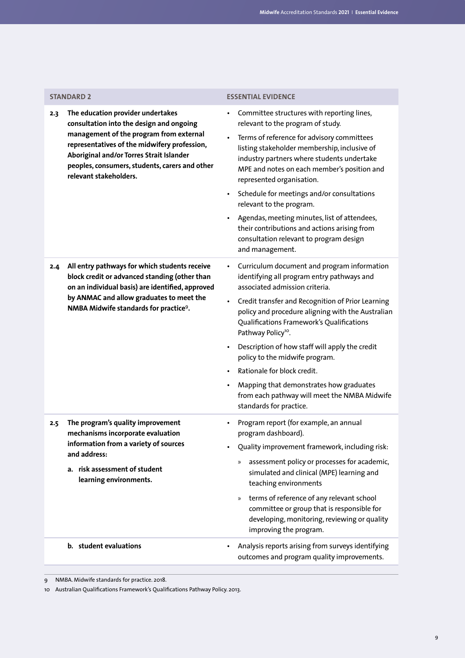| <b>STANDARD 2</b>                                                                                                                                                                                                                                                                                       | <b>ESSENTIAL EVIDENCE</b>                                                                                                                                                                                                                                                                                                                                                                                                                                                                                                                                                               |
|---------------------------------------------------------------------------------------------------------------------------------------------------------------------------------------------------------------------------------------------------------------------------------------------------------|-----------------------------------------------------------------------------------------------------------------------------------------------------------------------------------------------------------------------------------------------------------------------------------------------------------------------------------------------------------------------------------------------------------------------------------------------------------------------------------------------------------------------------------------------------------------------------------------|
| The education provider undertakes<br>2.3<br>consultation into the design and ongoing<br>management of the program from external<br>representatives of the midwifery profession,<br>Aboriginal and/or Torres Strait Islander<br>peoples, consumers, students, carers and other<br>relevant stakeholders. | Committee structures with reporting lines,<br>$\bullet$<br>relevant to the program of study.<br>Terms of reference for advisory committees<br>listing stakeholder membership, inclusive of<br>industry partners where students undertake<br>MPE and notes on each member's position and<br>represented organisation.<br>Schedule for meetings and/or consultations<br>$\bullet$<br>relevant to the program.<br>Agendas, meeting minutes, list of attendees,<br>their contributions and actions arising from<br>consultation relevant to program design<br>and management.               |
| All entry pathways for which students receive<br>2.4<br>block credit or advanced standing (other than<br>on an individual basis) are identified, approved<br>by ANMAC and allow graduates to meet the<br>NMBA Midwife standards for practice <sup>9</sup> .                                             | Curriculum document and program information<br>$\bullet$<br>identifying all program entry pathways and<br>associated admission criteria.<br>Credit transfer and Recognition of Prior Learning<br>$\bullet$<br>policy and procedure aligning with the Australian<br>Qualifications Framework's Qualifications<br>Pathway Policy <sup>10</sup> .<br>Description of how staff will apply the credit<br>policy to the midwife program.<br>Rationale for block credit.<br>Mapping that demonstrates how graduates<br>from each pathway will meet the NMBA Midwife<br>standards for practice. |
| The program's quality improvement<br>2.5<br>mechanisms incorporate evaluation<br>information from a variety of sources<br>and address:<br>a. risk assessment of student<br>learning environments.                                                                                                       | Program report (for example, an annual<br>program dashboard).<br>Quality improvement framework, including risk:<br>assessment policy or processes for academic,<br>»<br>simulated and clinical (MPE) learning and<br>teaching environments<br>terms of reference of any relevant school<br>$\rangle\!\rangle$<br>committee or group that is responsible for<br>developing, monitoring, reviewing or quality<br>improving the program.                                                                                                                                                   |
| b. student evaluations                                                                                                                                                                                                                                                                                  | Analysis reports arising from surveys identifying<br>outcomes and program quality improvements.                                                                                                                                                                                                                                                                                                                                                                                                                                                                                         |

9 NMBA. Midwife standards for practice. 2018.

10 Australian Qualifications Framework's Qualifications Pathway Policy. 2013.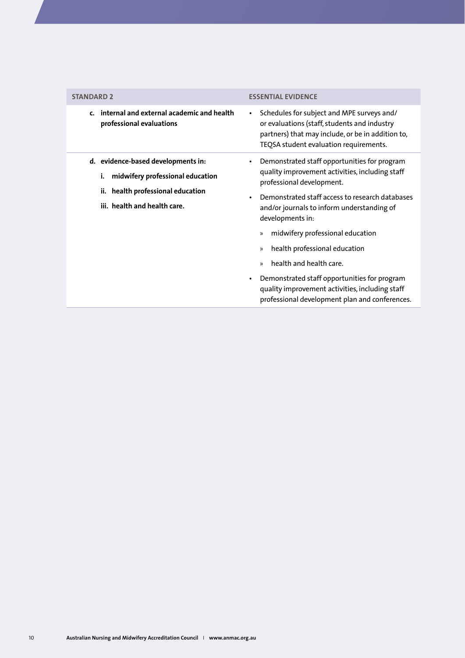<span id="page-11-0"></span>

| <b>STANDARD 2</b>                                                                                                                                    | <b>ESSENTIAL EVIDENCE</b>                                                                                                                                                                                                                                                                                                                                                                                                                                                                                                                                               |
|------------------------------------------------------------------------------------------------------------------------------------------------------|-------------------------------------------------------------------------------------------------------------------------------------------------------------------------------------------------------------------------------------------------------------------------------------------------------------------------------------------------------------------------------------------------------------------------------------------------------------------------------------------------------------------------------------------------------------------------|
| internal and external academic and health<br>$\mathbf{c}$ .<br>professional evaluations                                                              | Schedules for subject and MPE surveys and/<br>$\bullet$<br>or evaluations (staff, students and industry<br>partners) that may include, or be in addition to,<br>TEQSA student evaluation requirements.                                                                                                                                                                                                                                                                                                                                                                  |
| d. evidence-based developments in:<br>i.<br>midwifery professional education<br>health professional education<br>ii.<br>iii. health and health care. | Demonstrated staff opportunities for program<br>$\bullet$<br>quality improvement activities, including staff<br>professional development.<br>Demonstrated staff access to research databases<br>and/or journals to inform understanding of<br>developments in:<br>midwifery professional education<br>»<br>health professional education<br>$\mathcal{V}$<br>health and health care.<br>$\mathcal{V}$<br>Demonstrated staff opportunities for program<br>$\bullet$<br>quality improvement activities, including staff<br>professional development plan and conferences. |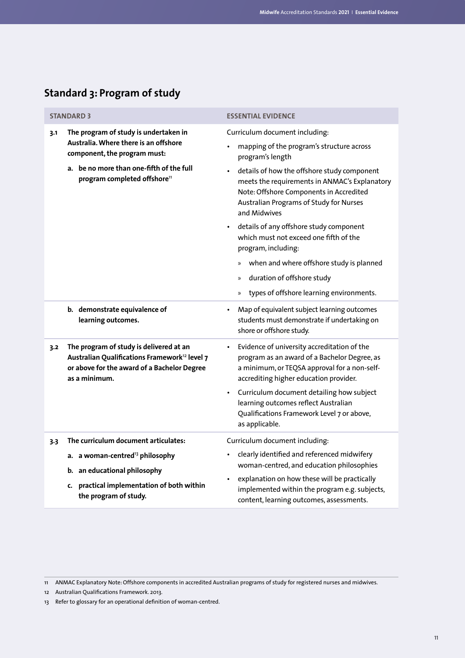|     | <b>STANDARD 3</b>                                                                                                                                                    | <b>ESSENTIAL EVIDENCE</b>                                                                                                                                                                          |
|-----|----------------------------------------------------------------------------------------------------------------------------------------------------------------------|----------------------------------------------------------------------------------------------------------------------------------------------------------------------------------------------------|
| 3.1 | The program of study is undertaken in<br>Australia. Where there is an offshore<br>component, the program must:                                                       | Curriculum document including:<br>mapping of the program's structure across<br>program's length                                                                                                    |
|     | a. be no more than one-fifth of the full<br>program completed offshore <sup>11</sup>                                                                                 | details of how the offshore study component<br>meets the requirements in ANMAC's Explanatory<br>Note: Offshore Components in Accredited<br>Australian Programs of Study for Nurses<br>and Midwives |
|     |                                                                                                                                                                      | details of any offshore study component<br>which must not exceed one fifth of the<br>program, including:                                                                                           |
|     |                                                                                                                                                                      | when and where offshore study is planned<br>$\gg$                                                                                                                                                  |
|     |                                                                                                                                                                      | duration of offshore study<br>$\rangle\!\rangle$                                                                                                                                                   |
|     |                                                                                                                                                                      | types of offshore learning environments.<br>$\gg$                                                                                                                                                  |
|     | b. demonstrate equivalence of<br>learning outcomes.                                                                                                                  | Map of equivalent subject learning outcomes<br>$\bullet$<br>students must demonstrate if undertaking on<br>shore or offshore study.                                                                |
| 3.2 | The program of study is delivered at an<br>Australian Qualifications Framework <sup>12</sup> level 7<br>or above for the award of a Bachelor Degree<br>as a minimum. | Evidence of university accreditation of the<br>program as an award of a Bachelor Degree, as<br>a minimum, or TEQSA approval for a non-self-<br>accrediting higher education provider.              |
|     |                                                                                                                                                                      | Curriculum document detailing how subject<br>learning outcomes reflect Australian<br>Qualifications Framework Level 7 or above,<br>as applicable.                                                  |
| 3.3 | The curriculum document articulates:                                                                                                                                 | Curriculum document including:                                                                                                                                                                     |
|     | a. a woman-centred <sup>13</sup> philosophy<br>b. an educational philosophy                                                                                          | clearly identified and referenced midwifery<br>woman-centred, and education philosophies                                                                                                           |
|     | practical implementation of both within<br>c.<br>the program of study.                                                                                               | explanation on how these will be practically<br>implemented within the program e.g. subjects,<br>content, learning outcomes, assessments.                                                          |

## **Standard 3: Program of study**

<sup>11</sup> ANMAC Explanatory Note: Offshore components in accredited Australian programs of study for registered nurses and midwives.

<sup>12</sup> Australian Qualifications Framework. 2013.

<sup>13</sup> Refer to glossary for an operational definition of woman-centred.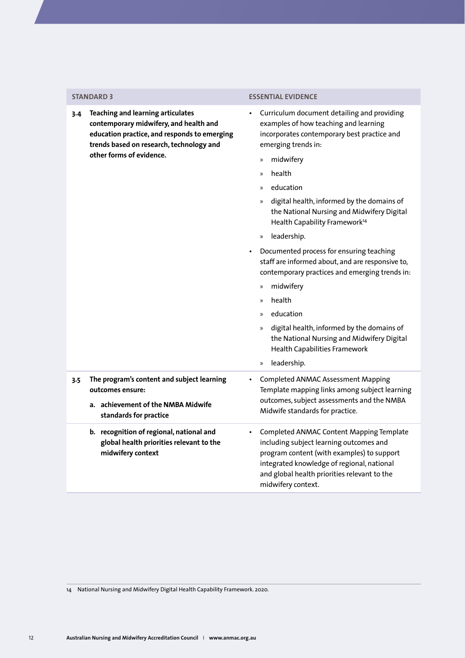**3.4 Teaching and learning articulates contemporary midwifery, and health and education practice, and responds to emerging trends based on research, technology and other forms of evidence.**

### **STANDARD 3 ESSENTIAL EVIDENCE**

- Curriculum document detailing and providing examples of how teaching and learning incorporates contemporary best practice and emerging trends in:
	- » midwifery
	- » health
	- » education
	- » digital health, informed by the domains of the National Nursing and Midwifery Digital Health Capability Framework<sup>14</sup>
	- » leadership.
- Documented process for ensuring teaching staff are informed about, and are responsive to, contemporary practices and emerging trends in:
	- » midwifery
	- » health
	- » education
	- » digital health, informed by the domains of the National Nursing and Midwifery Digital Health Capabilities Framework

and global health priorities relevant to the

» leadership.

midwifery context.

**3.5 The program's content and subject learning outcomes ensure: a. achievement of the NMBA Midwife standards for practice** • Completed ANMAC Assessment Mapping Template mapping links among subject learning outcomes, subject assessments and the NMBA Midwife standards for practice. **b. recognition of regional, national and global health priorities relevant to the midwifery context** • Completed ANMAC Content Mapping Template including subject learning outcomes and program content (with examples) to support integrated knowledge of regional, national

14 National Nursing and Midwifery Digital Health Capability Framework. 2020.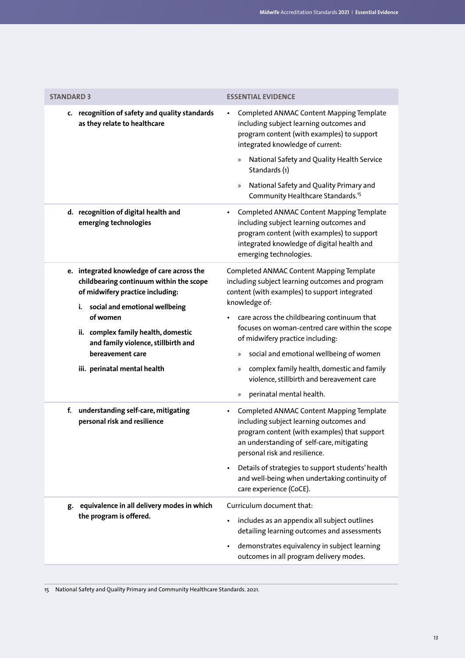| <b>STANDARD 3</b>                                                                                                                                              | <b>ESSENTIAL EVIDENCE</b>                                                                                                                                                                                              |
|----------------------------------------------------------------------------------------------------------------------------------------------------------------|------------------------------------------------------------------------------------------------------------------------------------------------------------------------------------------------------------------------|
| c. recognition of safety and quality standards<br>as they relate to healthcare                                                                                 | Completed ANMAC Content Mapping Template<br>including subject learning outcomes and<br>program content (with examples) to support<br>integrated knowledge of current:                                                  |
|                                                                                                                                                                | National Safety and Quality Health Service<br>$\rangle\!\rangle$<br>Standards (1)                                                                                                                                      |
|                                                                                                                                                                | National Safety and Quality Primary and<br>$\gg$<br>Community Healthcare Standards. <sup>15</sup>                                                                                                                      |
| d. recognition of digital health and<br>emerging technologies                                                                                                  | Completed ANMAC Content Mapping Template<br>$\bullet$<br>including subject learning outcomes and<br>program content (with examples) to support<br>integrated knowledge of digital health and<br>emerging technologies. |
| e. integrated knowledge of care across the<br>childbearing continuum within the scope<br>of midwifery practice including:<br>i. social and emotional wellbeing | Completed ANMAC Content Mapping Template<br>including subject learning outcomes and program<br>content (with examples) to support integrated<br>knowledge of:                                                          |
| of women<br>ii. complex family health, domestic<br>and family violence, stillbirth and                                                                         | care across the childbearing continuum that<br>focuses on woman-centred care within the scope<br>of midwifery practice including:                                                                                      |
| bereavement care                                                                                                                                               | social and emotional wellbeing of women<br>»                                                                                                                                                                           |
| iii. perinatal mental health                                                                                                                                   | complex family health, domestic and family<br>»<br>violence, stillbirth and bereavement care                                                                                                                           |
|                                                                                                                                                                | perinatal mental health.<br>$\gg$                                                                                                                                                                                      |
| f. understanding self-care, mitigating<br>personal risk and resilience                                                                                         | Completed ANMAC Content Mapping Template<br>including subject learning outcomes and<br>program content (with examples) that support<br>an understanding of self-care, mitigating<br>personal risk and resilience.      |
|                                                                                                                                                                | Details of strategies to support students' health<br>and well-being when undertaking continuity of<br>care experience (CoCE).                                                                                          |
| equivalence in all delivery modes in which<br>g.                                                                                                               | Curriculum document that:                                                                                                                                                                                              |
| the program is offered.                                                                                                                                        | includes as an appendix all subject outlines<br>detailing learning outcomes and assessments                                                                                                                            |
|                                                                                                                                                                | demonstrates equivalency in subject learning<br>outcomes in all program delivery modes.                                                                                                                                |
|                                                                                                                                                                |                                                                                                                                                                                                                        |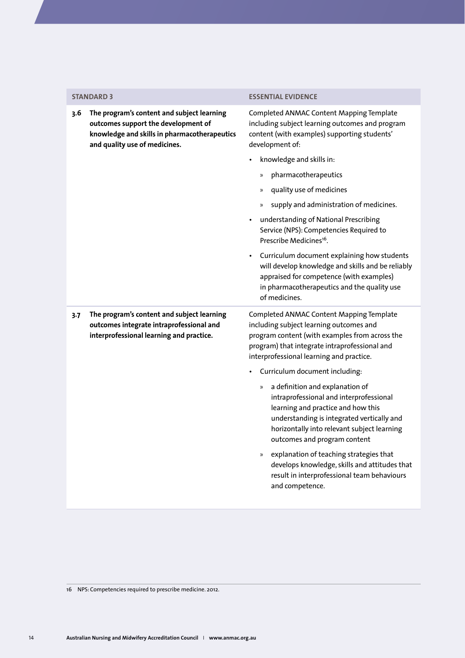### **STANDARD 3 ESSENTIAL EVIDENCE**

| 3.6   | The program's content and subject learning<br>outcomes support the development of<br>knowledge and skills in pharmacotherapeutics<br>and quality use of medicines. | Completed ANMAC Content Mapping Template<br>including subject learning outcomes and program<br>content (with examples) supporting students'<br>development of:                                                                                             |
|-------|--------------------------------------------------------------------------------------------------------------------------------------------------------------------|------------------------------------------------------------------------------------------------------------------------------------------------------------------------------------------------------------------------------------------------------------|
|       |                                                                                                                                                                    | knowledge and skills in:<br>$\bullet$                                                                                                                                                                                                                      |
|       |                                                                                                                                                                    | pharmacotherapeutics<br>$\gg$                                                                                                                                                                                                                              |
|       |                                                                                                                                                                    | quality use of medicines<br>$\gg$                                                                                                                                                                                                                          |
|       |                                                                                                                                                                    | supply and administration of medicines.<br>$\gg$                                                                                                                                                                                                           |
|       |                                                                                                                                                                    | understanding of National Prescribing<br>Service (NPS): Competencies Required to<br>Prescribe Medicines <sup>16</sup> .                                                                                                                                    |
|       |                                                                                                                                                                    | • Curriculum document explaining how students<br>will develop knowledge and skills and be reliably<br>appraised for competence (with examples)<br>in pharmacotherapeutics and the quality use<br>of medicines.                                             |
| $3-7$ | The program's content and subject learning<br>outcomes integrate intraprofessional and<br>interprofessional learning and practice.                                 | Completed ANMAC Content Mapping Template<br>including subject learning outcomes and<br>program content (with examples from across the<br>program) that integrate intraprofessional and<br>interprofessional learning and practice.                         |
|       |                                                                                                                                                                    | Curriculum document including:                                                                                                                                                                                                                             |
|       |                                                                                                                                                                    | a definition and explanation of<br>$\rangle$<br>intraprofessional and interprofessional<br>learning and practice and how this<br>understanding is integrated vertically and<br>horizontally into relevant subject learning<br>outcomes and program content |
|       |                                                                                                                                                                    | explanation of teaching strategies that<br>$\gg$<br>develops knowledge, skills and attitudes that<br>result in interprofessional team behaviours<br>and competence.                                                                                        |

16 NPS: Competencies required to prescribe medicine. 2012.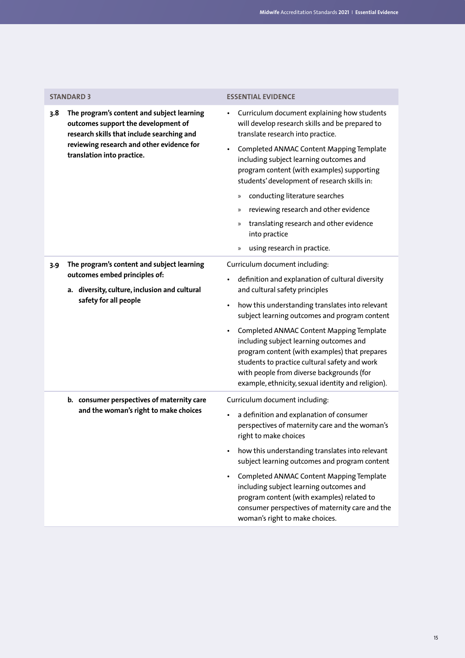|                                                                                                                | <b>STANDARD 3</b>                                                                                                                                                                                          | <b>ESSENTIAL EVIDENCE</b>                                                                                                                                                                                                                                                                |
|----------------------------------------------------------------------------------------------------------------|------------------------------------------------------------------------------------------------------------------------------------------------------------------------------------------------------------|------------------------------------------------------------------------------------------------------------------------------------------------------------------------------------------------------------------------------------------------------------------------------------------|
| 3.8                                                                                                            | The program's content and subject learning<br>outcomes support the development of<br>research skills that include searching and<br>reviewing research and other evidence for<br>translation into practice. | Curriculum document explaining how students<br>will develop research skills and be prepared to<br>translate research into practice.                                                                                                                                                      |
|                                                                                                                |                                                                                                                                                                                                            | Completed ANMAC Content Mapping Template<br>including subject learning outcomes and<br>program content (with examples) supporting<br>students' development of research skills in:                                                                                                        |
|                                                                                                                |                                                                                                                                                                                                            | conducting literature searches<br>»                                                                                                                                                                                                                                                      |
|                                                                                                                |                                                                                                                                                                                                            | reviewing research and other evidence<br>»                                                                                                                                                                                                                                               |
|                                                                                                                |                                                                                                                                                                                                            | translating research and other evidence<br>»<br>into practice                                                                                                                                                                                                                            |
|                                                                                                                |                                                                                                                                                                                                            | using research in practice.<br>»                                                                                                                                                                                                                                                         |
| 3.9<br>outcomes embed principles of:<br>a. diversity, culture, inclusion and cultural<br>safety for all people | The program's content and subject learning                                                                                                                                                                 | Curriculum document including:                                                                                                                                                                                                                                                           |
|                                                                                                                |                                                                                                                                                                                                            | definition and explanation of cultural diversity<br>and cultural safety principles                                                                                                                                                                                                       |
|                                                                                                                |                                                                                                                                                                                                            | how this understanding translates into relevant<br>$\bullet$<br>subject learning outcomes and program content                                                                                                                                                                            |
|                                                                                                                |                                                                                                                                                                                                            | Completed ANMAC Content Mapping Template<br>including subject learning outcomes and<br>program content (with examples) that prepares<br>students to practice cultural safety and work<br>with people from diverse backgrounds (for<br>example, ethnicity, sexual identity and religion). |
|                                                                                                                | b. consumer perspectives of maternity care                                                                                                                                                                 | Curriculum document including:                                                                                                                                                                                                                                                           |
|                                                                                                                | and the woman's right to make choices                                                                                                                                                                      | a definition and explanation of consumer<br>perspectives of maternity care and the woman's<br>right to make choices                                                                                                                                                                      |
|                                                                                                                |                                                                                                                                                                                                            | how this understanding translates into relevant<br>subject learning outcomes and program content                                                                                                                                                                                         |
|                                                                                                                |                                                                                                                                                                                                            | Completed ANMAC Content Mapping Template<br>including subject learning outcomes and<br>program content (with examples) related to<br>consumer perspectives of maternity care and the<br>woman's right to make choices.                                                                   |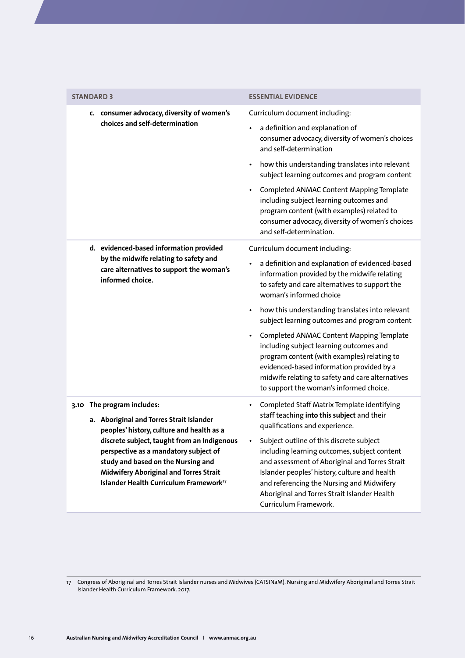| <b>STANDARD 3</b><br>c. consumer advocacy, diversity of women's                                                                                                                                                                   | <b>ESSENTIAL EVIDENCE</b><br>Curriculum document including:                                                                                                                                                                                                                                                       |
|-----------------------------------------------------------------------------------------------------------------------------------------------------------------------------------------------------------------------------------|-------------------------------------------------------------------------------------------------------------------------------------------------------------------------------------------------------------------------------------------------------------------------------------------------------------------|
|                                                                                                                                                                                                                                   |                                                                                                                                                                                                                                                                                                                   |
|                                                                                                                                                                                                                                   |                                                                                                                                                                                                                                                                                                                   |
| choices and self-determination                                                                                                                                                                                                    | a definition and explanation of<br>٠<br>consumer advocacy, diversity of women's choices<br>and self-determination                                                                                                                                                                                                 |
|                                                                                                                                                                                                                                   | how this understanding translates into relevant<br>$\bullet$<br>subject learning outcomes and program content                                                                                                                                                                                                     |
|                                                                                                                                                                                                                                   | Completed ANMAC Content Mapping Template<br>$\bullet$<br>including subject learning outcomes and<br>program content (with examples) related to<br>consumer advocacy, diversity of women's choices<br>and self-determination.                                                                                      |
| d. evidenced-based information provided                                                                                                                                                                                           | Curriculum document including:                                                                                                                                                                                                                                                                                    |
| by the midwife relating to safety and<br>care alternatives to support the woman's<br>informed choice.                                                                                                                             | a definition and explanation of evidenced-based<br>information provided by the midwife relating<br>to safety and care alternatives to support the<br>woman's informed choice                                                                                                                                      |
|                                                                                                                                                                                                                                   | how this understanding translates into relevant<br>$\bullet$<br>subject learning outcomes and program content                                                                                                                                                                                                     |
|                                                                                                                                                                                                                                   | Completed ANMAC Content Mapping Template<br>$\bullet$<br>including subject learning outcomes and<br>program content (with examples) relating to<br>evidenced-based information provided by a<br>midwife relating to safety and care alternatives<br>to support the woman's informed choice.                       |
| 3.10 The program includes:                                                                                                                                                                                                        | Completed Staff Matrix Template identifying<br>٠                                                                                                                                                                                                                                                                  |
| a. Aboriginal and Torres Strait Islander<br>peoples' history, culture and health as a                                                                                                                                             | staff teaching into this subject and their<br>qualifications and experience.                                                                                                                                                                                                                                      |
| discrete subject, taught from an Indigenous<br>perspective as a mandatory subject of<br>study and based on the Nursing and<br><b>Midwifery Aboriginal and Torres Strait</b><br>Islander Health Curriculum Framework <sup>17</sup> | Subject outline of this discrete subject<br>including learning outcomes, subject content<br>and assessment of Aboriginal and Torres Strait<br>Islander peoples' history, culture and health<br>and referencing the Nursing and Midwifery<br>Aboriginal and Torres Strait Islander Health<br>Curriculum Framework. |

<sup>17</sup> Congress of Aboriginal and Torres Strait Islander nurses and Midwives (CATSINaM). Nursing and Midwifery Aboriginal and Torres Strait Islander Health Curriculum Framework. 2017.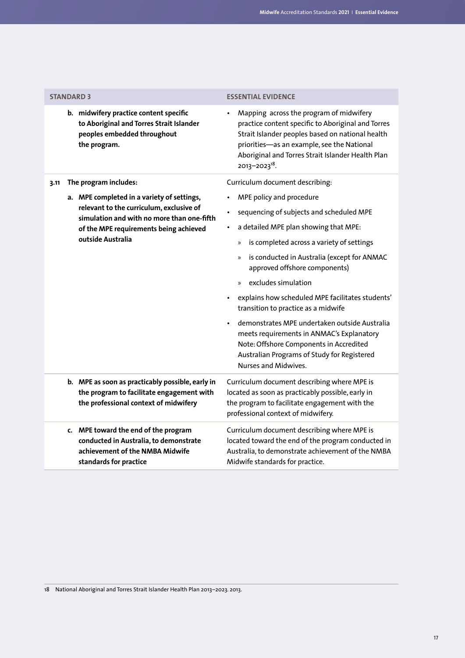| <b>STANDARD 3</b>                                                                                                                           | <b>ESSENTIAL EVIDENCE</b>                                                                                                                                                                                                                                                         |
|---------------------------------------------------------------------------------------------------------------------------------------------|-----------------------------------------------------------------------------------------------------------------------------------------------------------------------------------------------------------------------------------------------------------------------------------|
| b. midwifery practice content specific<br>to Aboriginal and Torres Strait Islander<br>peoples embedded throughout<br>the program.           | Mapping across the program of midwifery<br>practice content specific to Aboriginal and Torres<br>Strait Islander peoples based on national health<br>priorities-as an example, see the National<br>Aboriginal and Torres Strait Islander Health Plan<br>2013-2023 <sup>18</sup> . |
| The program includes:<br>3.11                                                                                                               | Curriculum document describing:                                                                                                                                                                                                                                                   |
| a. MPE completed in a variety of settings,<br>relevant to the curriculum, exclusive of                                                      | MPE policy and procedure<br>sequencing of subjects and scheduled MPE                                                                                                                                                                                                              |
| simulation and with no more than one-fifth<br>of the MPE requirements being achieved<br>outside Australia                                   | a detailed MPE plan showing that MPE:<br>$\bullet$                                                                                                                                                                                                                                |
|                                                                                                                                             | is completed across a variety of settings<br>$\mathcal{V}$                                                                                                                                                                                                                        |
|                                                                                                                                             | is conducted in Australia (except for ANMAC<br>$\gg$<br>approved offshore components)                                                                                                                                                                                             |
|                                                                                                                                             | excludes simulation<br>$\mathcal{V}$                                                                                                                                                                                                                                              |
|                                                                                                                                             | explains how scheduled MPE facilitates students'<br>$\bullet$<br>transition to practice as a midwife                                                                                                                                                                              |
|                                                                                                                                             | demonstrates MPE undertaken outside Australia<br>meets requirements in ANMAC's Explanatory<br>Note: Offshore Components in Accredited<br>Australian Programs of Study for Registered<br>Nurses and Midwives.                                                                      |
| b. MPE as soon as practicably possible, early in<br>the program to facilitate engagement with<br>the professional context of midwifery      | Curriculum document describing where MPE is<br>located as soon as practicably possible, early in<br>the program to facilitate engagement with the<br>professional context of midwifery.                                                                                           |
| c. MPE toward the end of the program<br>conducted in Australia, to demonstrate<br>achievement of the NMBA Midwife<br>standards for practice | Curriculum document describing where MPE is<br>located toward the end of the program conducted in<br>Australia, to demonstrate achievement of the NMBA<br>Midwife standards for practice.                                                                                         |

18 National Aboriginal and Torres Strait Islander Health Plan 2013–2023. 2013.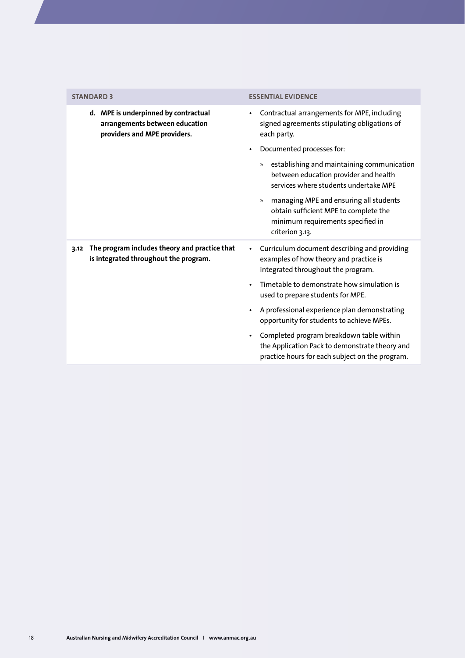| <b>STANDARD 3</b>                                                                                      | <b>ESSENTIAL EVIDENCE</b>                                                                                                                                |
|--------------------------------------------------------------------------------------------------------|----------------------------------------------------------------------------------------------------------------------------------------------------------|
| d. MPE is underpinned by contractual<br>arrangements between education<br>providers and MPE providers. | Contractual arrangements for MPE, including<br>signed agreements stipulating obligations of<br>each party.                                               |
|                                                                                                        | Documented processes for:                                                                                                                                |
|                                                                                                        | establishing and maintaining communication<br>$\rangle$<br>between education provider and health<br>services where students undertake MPF                |
|                                                                                                        | managing MPE and ensuring all students<br>$\mathcal{V}$<br>obtain sufficient MPE to complete the<br>minimum requirements specified in<br>criterion 3.13. |
| The program includes theory and practice that<br>3.12<br>is integrated throughout the program.         | Curriculum document describing and providing<br>$\bullet$<br>examples of how theory and practice is<br>integrated throughout the program.                |
|                                                                                                        | Timetable to demonstrate how simulation is<br>used to prepare students for MPE.                                                                          |
|                                                                                                        | A professional experience plan demonstrating<br>opportunity for students to achieve MPEs.                                                                |
|                                                                                                        | Completed program breakdown table within<br>the Application Pack to demonstrate theory and<br>practice hours for each subject on the program.            |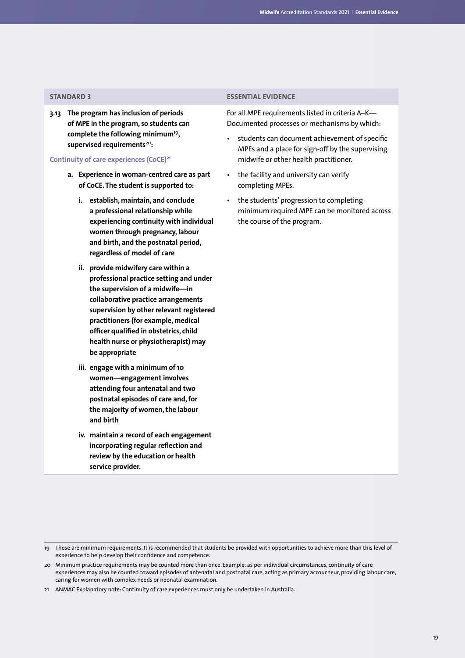**3.13 The program has inclusion of periods of MPE in the program, so students can complete the following minimum**<sup>19</sup>**, supervised requirements**<sup>20</sup>**:**

**Continuity of care experiences (CoCE)**<sup>21</sup>

- **a. Experience in woman-centred care as part of CoCE. The student is supported to:**
	- **i. establish, maintain, and conclude a professional relationship while experiencing continuity with individual women through pregnancy, labour and birth, and the postnatal period, regardless of model of care**
	- **ii. provide midwifery care within a professional practice setting and under the supervision of a midwife—in collaborative practice arrangements supervision by other relevant registered practitioners (for example, medical officer qualified in obstetrics, child health nurse or physiotherapist) may be appropriate**
	- **iii. engage with a minimum of 10 women—engagement involves attending four antenatal and two postnatal episodes of care and, for the majority of women, the labour and birth**
	- **iv. maintain a record of each engagement incorporating regular reflection and review by the education or health service provider.**

### **STANDARD 3 ESSENTIAL EVIDENCE**

For all MPE requirements listed in criteria A–K— Documented processes or mechanisms by which:

- students can document achievement of specific MPEs and a place for sign-off by the supervising midwife or other health practitioner.
- the facility and university can verify completing MPEs.
- the students' progression to completing minimum required MPE can be monitored across the course of the program.

<sup>19</sup> These are minimum requirements. It is recommended that students be provided with opportunities to achieve more than this level of experience to help develop their confidence and competence.

<sup>20</sup> Minimum practice requirements may be counted more than once. Example: as per individual circumstances, continuity of care experiences may also be counted toward episodes of antenatal and postnatal care, acting as primary accoucheur, providing labour care, caring for women with complex needs or neonatal examination.

<sup>21</sup> ANMAC Explanatory note: Continuity of care experiences must only be undertaken in Australia.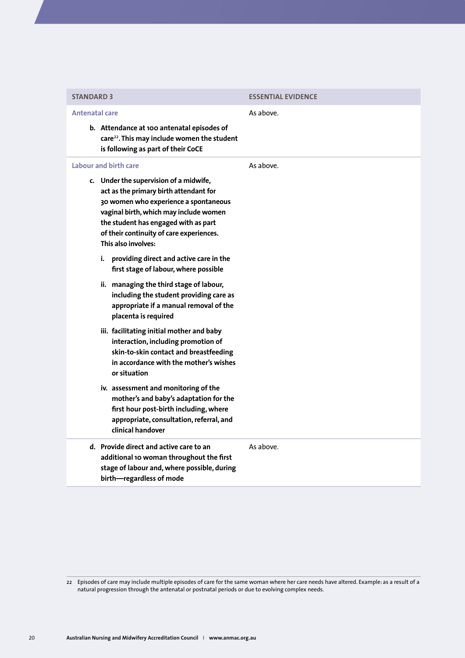| <b>STANDARD 3</b>                                                                                                                                                                                                                                                                                       | <b>ESSENTIAL EVIDENCE</b> |
|---------------------------------------------------------------------------------------------------------------------------------------------------------------------------------------------------------------------------------------------------------------------------------------------------------|---------------------------|
| <b>Antenatal care</b><br>b. Attendance at 100 antenatal episodes of<br>care <sup>22</sup> . This may include women the student<br>is following as part of their CoCE                                                                                                                                    | As above.                 |
| Labour and birth care<br>c. Under the supervision of a midwife,<br>act as the primary birth attendant for<br>30 women who experience a spontaneous<br>vaginal birth, which may include women<br>the student has engaged with as part<br>of their continuity of care experiences.<br>This also involves: | As above.                 |
| i. providing direct and active care in the<br>first stage of labour, where possible<br>ii. managing the third stage of labour,<br>including the student providing care as<br>appropriate if a manual removal of the<br>placenta is required                                                             |                           |
| iii. facilitating initial mother and baby<br>interaction, including promotion of<br>skin-to-skin contact and breastfeeding<br>in accordance with the mother's wishes<br>or situation                                                                                                                    |                           |
| iv. assessment and monitoring of the<br>mother's and baby's adaptation for the<br>first hour post-birth including, where<br>appropriate, consultation, referral, and<br>clinical handover                                                                                                               |                           |
| d. Provide direct and active care to an<br>additional 10 woman throughout the first<br>stage of labour and, where possible, during<br>birth-regardless of mode                                                                                                                                          | As above.                 |

<sup>22</sup> Episodes of care may include multiple episodes of care for the same woman where her care needs have altered. Example: as a result of a natural progression through the antenatal or postnatal periods or due to evolving complex needs.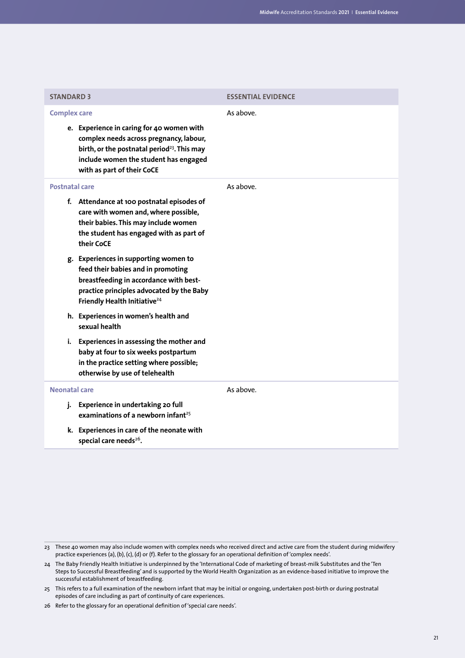| <b>STANDARD 3</b>                                                                                                                                                                                                                             | <b>ESSENTIAL EVIDENCE</b> |
|-----------------------------------------------------------------------------------------------------------------------------------------------------------------------------------------------------------------------------------------------|---------------------------|
| <b>Complex care</b><br>e. Experience in caring for 40 women with<br>complex needs across pregnancy, labour,<br>birth, or the postnatal period <sup>23</sup> . This may<br>include women the student has engaged<br>with as part of their CoCE | As above.                 |
| Postnatal care<br>f. Attendance at 100 postnatal episodes of<br>care with women and, where possible,<br>their babies. This may include women<br>the student has engaged with as part of<br>their CoCE                                         | As above.                 |
| g. Experiences in supporting women to<br>feed their babies and in promoting<br>breastfeeding in accordance with best-<br>practice principles advocated by the Baby<br>Friendly Health Initiative <sup>24</sup>                                |                           |
| h. Experiences in women's health and<br>sexual health                                                                                                                                                                                         |                           |
| i. Experiences in assessing the mother and<br>baby at four to six weeks postpartum<br>in the practice setting where possible;<br>otherwise by use of telehealth                                                                               |                           |
| Neonatal care                                                                                                                                                                                                                                 | As above.                 |
| Experience in undertaking 20 full<br>i.<br>examinations of a newborn infant <sup>25</sup>                                                                                                                                                     |                           |
| k. Experiences in care of the neonate with<br>special care needs <sup>26</sup> .                                                                                                                                                              |                           |

<sup>23</sup> These 40 women may also include women with complex needs who received direct and active care from the student during midwifery practice experiences (a), (b), (c), (d) or (f). Refer to the glossary for an operational definition of 'complex needs'.

<sup>24</sup> The Baby Friendly Health Initiative is underpinned by the 'International Code of marketing of breast-milk Substitutes and the 'Ten Steps to Successful Breastfeeding' and is supported by the World Health Organization as an evidence-based initiative to improve the successful establishment of breastfeeding.

<sup>25</sup> This refers to a full examination of the newborn infant that may be initial or ongoing, undertaken post-birth or during postnatal episodes of care including as part of continuity of care experiences.

<sup>26</sup> Refer to the glossary for an operational definition of 'special care needs'.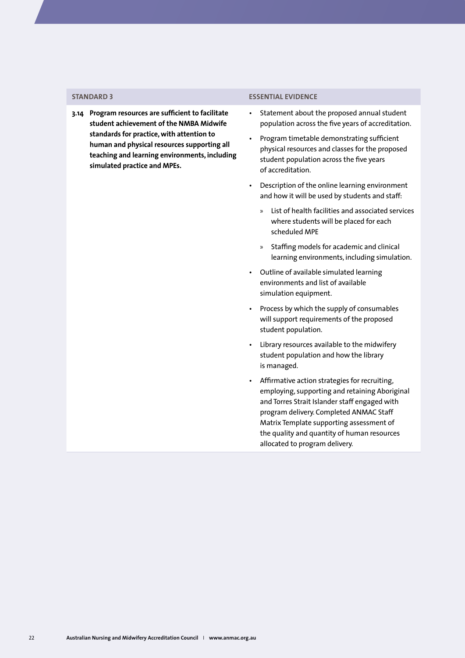**3.14 Program resources are sufficient to facilitate student achievement of the NMBA Midwife standards for practice, with attention to human and physical resources supporting all teaching and learning environments, including simulated practice and MPEs.**

### **STANDARD 3 ESSENTIAL EVIDENCE**

- Statement about the proposed annual student population across the five years of accreditation.
- Program timetable demonstrating sufficient physical resources and classes for the proposed student population across the five years of accreditation.
- Description of the online learning environment and how it will be used by students and staff:
	- » List of health facilities and associated services where students will be placed for each scheduled MPE
	- » Staffing models for academic and clinical learning environments, including simulation.
- Outline of available simulated learning environments and list of available simulation equipment.
- Process by which the supply of consumables will support requirements of the proposed student population.
- Library resources available to the midwifery student population and how the library is managed.
- Affirmative action strategies for recruiting, employing, supporting and retaining Aboriginal and Torres Strait Islander staff engaged with program delivery. Completed ANMAC Staff Matrix Template supporting assessment of the quality and quantity of human resources allocated to program delivery.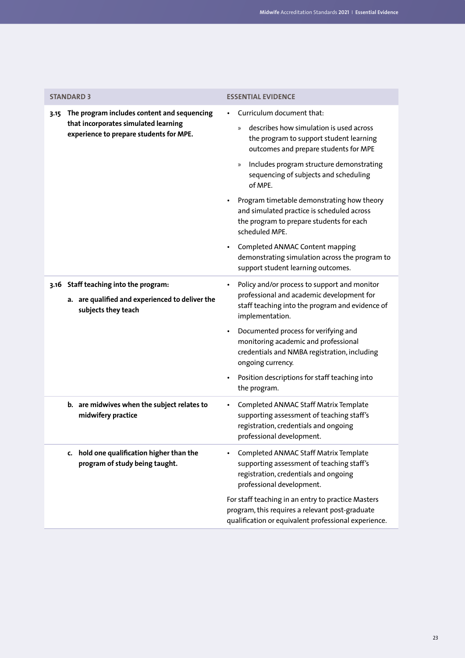<span id="page-24-0"></span>

| <b>STANDARD 3</b>                                                                                                                      | <b>ESSENTIAL EVIDENCE</b>                                                                                                                                                                                      |
|----------------------------------------------------------------------------------------------------------------------------------------|----------------------------------------------------------------------------------------------------------------------------------------------------------------------------------------------------------------|
| The program includes content and sequencing<br>3.15<br>that incorporates simulated learning<br>experience to prepare students for MPE. | Curriculum document that:<br>describes how simulation is used across<br>»<br>the program to support student learning<br>outcomes and prepare students for MPE<br>Includes program structure demonstrating<br>» |
|                                                                                                                                        | sequencing of subjects and scheduling<br>of MPF.<br>Program timetable demonstrating how theory<br>and simulated practice is scheduled across<br>the program to prepare students for each<br>scheduled MPE.     |
|                                                                                                                                        | Completed ANMAC Content mapping<br>demonstrating simulation across the program to<br>support student learning outcomes.                                                                                        |
| 3.16 Staff teaching into the program:<br>a. are qualified and experienced to deliver the<br>subjects they teach                        | Policy and/or process to support and monitor<br>professional and academic development for<br>staff teaching into the program and evidence of<br>implementation.                                                |
|                                                                                                                                        | Documented process for verifying and<br>monitoring academic and professional<br>credentials and NMBA registration, including<br>ongoing currency.                                                              |
|                                                                                                                                        | Position descriptions for staff teaching into<br>the program.                                                                                                                                                  |
| b. are midwives when the subject relates to<br>midwifery practice                                                                      | Completed ANMAC Staff Matrix Template<br>supporting assessment of teaching staff's<br>registration, credentials and ongoing<br>professional development.                                                       |
| c. hold one qualification higher than the<br>program of study being taught.                                                            | Completed ANMAC Staff Matrix Template<br>supporting assessment of teaching staff's<br>registration, credentials and ongoing<br>professional development.                                                       |
|                                                                                                                                        | For staff teaching in an entry to practice Masters<br>program, this requires a relevant post-graduate<br>qualification or equivalent professional experience.                                                  |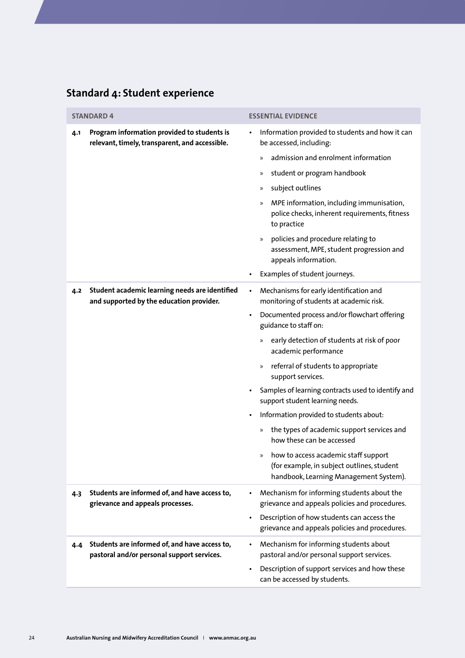## **Standard 4: Student experience**

|                                                                                                      | <b>STANDARD 4</b>                                                                           | <b>ESSENTIAL EVIDENCE</b>                                                                                                      |
|------------------------------------------------------------------------------------------------------|---------------------------------------------------------------------------------------------|--------------------------------------------------------------------------------------------------------------------------------|
| Program information provided to students is<br>4.1<br>relevant, timely, transparent, and accessible. | Information provided to students and how it can<br>be accessed, including:                  |                                                                                                                                |
|                                                                                                      |                                                                                             | admission and enrolment information<br>$\mathcal{P}$                                                                           |
|                                                                                                      |                                                                                             | student or program handbook<br>$\rangle\!\rangle$                                                                              |
|                                                                                                      |                                                                                             | subject outlines<br>$\rangle\!\rangle$                                                                                         |
|                                                                                                      |                                                                                             | MPE information, including immunisation,<br>$\rangle$<br>police checks, inherent requirements, fitness<br>to practice          |
|                                                                                                      |                                                                                             | policies and procedure relating to<br>$\rangle$<br>assessment, MPE, student progression and<br>appeals information.            |
|                                                                                                      |                                                                                             | Examples of student journeys.                                                                                                  |
| Student academic learning needs are identified<br>4.2<br>and supported by the education provider.    |                                                                                             | Mechanisms for early identification and<br>$\bullet$<br>monitoring of students at academic risk.                               |
|                                                                                                      |                                                                                             | Documented process and/or flowchart offering<br>$\bullet$<br>guidance to staff on:                                             |
|                                                                                                      | early detection of students at risk of poor<br>$\rangle\!\rangle$<br>academic performance   |                                                                                                                                |
|                                                                                                      |                                                                                             | referral of students to appropriate<br>$\rangle\!\rangle$<br>support services.                                                 |
|                                                                                                      |                                                                                             | Samples of learning contracts used to identify and<br>support student learning needs.                                          |
|                                                                                                      |                                                                                             | Information provided to students about:                                                                                        |
|                                                                                                      |                                                                                             | the types of academic support services and<br>$\rangle\!\rangle$<br>how these can be accessed                                  |
|                                                                                                      |                                                                                             | » how to access academic staff support<br>(for example, in subject outlines, student<br>handbook, Learning Management System). |
| 4.3                                                                                                  | Students are informed of, and have access to,<br>grievance and appeals processes.           | Mechanism for informing students about the<br>grievance and appeals policies and procedures.                                   |
|                                                                                                      |                                                                                             | Description of how students can access the<br>grievance and appeals policies and procedures.                                   |
| 4.4                                                                                                  | Students are informed of, and have access to,<br>pastoral and/or personal support services. | Mechanism for informing students about<br>pastoral and/or personal support services.                                           |
|                                                                                                      |                                                                                             | Description of support services and how these<br>can be accessed by students.                                                  |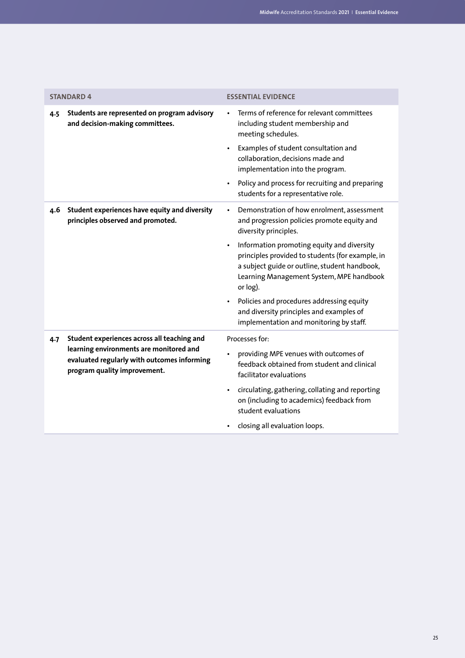<span id="page-26-0"></span>

| <b>STANDARD 4</b>                                                                                                      | <b>ESSENTIAL EVIDENCE</b>                                                                                                                                                                               |
|------------------------------------------------------------------------------------------------------------------------|---------------------------------------------------------------------------------------------------------------------------------------------------------------------------------------------------------|
| Students are represented on program advisory<br>4.5<br>and decision-making committees.                                 | Terms of reference for relevant committees<br>including student membership and<br>meeting schedules.                                                                                                    |
|                                                                                                                        | Examples of student consultation and<br>collaboration, decisions made and<br>implementation into the program.                                                                                           |
|                                                                                                                        | Policy and process for recruiting and preparing<br>$\bullet$<br>students for a representative role.                                                                                                     |
| Student experiences have equity and diversity<br>4.6<br>principles observed and promoted.                              | Demonstration of how enrolment, assessment<br>$\bullet$<br>and progression policies promote equity and<br>diversity principles.                                                                         |
|                                                                                                                        | Information promoting equity and diversity<br>principles provided to students (for example, in<br>a subject guide or outline, student handbook,<br>Learning Management System, MPE handbook<br>or log). |
|                                                                                                                        | Policies and procedures addressing equity<br>and diversity principles and examples of<br>implementation and monitoring by staff.                                                                        |
| Student experiences across all teaching and<br>4.7                                                                     | Processes for:                                                                                                                                                                                          |
| learning environments are monitored and<br>evaluated regularly with outcomes informing<br>program quality improvement. | providing MPE venues with outcomes of<br>feedback obtained from student and clinical<br>facilitator evaluations                                                                                         |
|                                                                                                                        | circulating, gathering, collating and reporting<br>$\bullet$<br>on (including to academics) feedback from<br>student evaluations                                                                        |
|                                                                                                                        | closing all evaluation loops.                                                                                                                                                                           |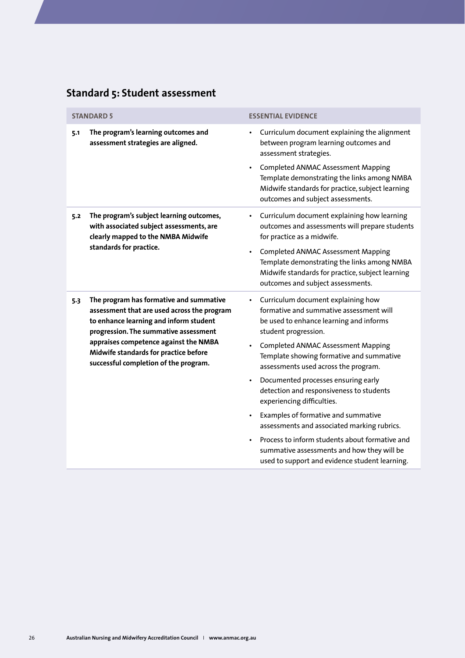# **Standard 5: Student assessment**

|     | <b>STANDARD 5</b>                                                                                                                                                                                                                                                                                    | <b>ESSENTIAL EVIDENCE</b>                                                                                                                                                                                                                                                                                                                                                                                                                                                                                                                                                                                                                               |
|-----|------------------------------------------------------------------------------------------------------------------------------------------------------------------------------------------------------------------------------------------------------------------------------------------------------|---------------------------------------------------------------------------------------------------------------------------------------------------------------------------------------------------------------------------------------------------------------------------------------------------------------------------------------------------------------------------------------------------------------------------------------------------------------------------------------------------------------------------------------------------------------------------------------------------------------------------------------------------------|
| 5.1 | The program's learning outcomes and<br>assessment strategies are aligned.                                                                                                                                                                                                                            | Curriculum document explaining the alignment<br>between program learning outcomes and<br>assessment strategies.<br><b>Completed ANMAC Assessment Mapping</b><br>Template demonstrating the links among NMBA<br>Midwife standards for practice, subject learning<br>outcomes and subject assessments.                                                                                                                                                                                                                                                                                                                                                    |
| 5.2 | The program's subject learning outcomes,<br>with associated subject assessments, are<br>clearly mapped to the NMBA Midwife<br>standards for practice.                                                                                                                                                | Curriculum document explaining how learning<br>outcomes and assessments will prepare students<br>for practice as a midwife.<br><b>Completed ANMAC Assessment Mapping</b><br>Template demonstrating the links among NMBA<br>Midwife standards for practice, subject learning<br>outcomes and subject assessments.                                                                                                                                                                                                                                                                                                                                        |
| 5.3 | The program has formative and summative<br>assessment that are used across the program<br>to enhance learning and inform student<br>progression. The summative assessment<br>appraises competence against the NMBA<br>Midwife standards for practice before<br>successful completion of the program. | Curriculum document explaining how<br>$\bullet$<br>formative and summative assessment will<br>be used to enhance learning and informs<br>student progression.<br><b>Completed ANMAC Assessment Mapping</b><br>Template showing formative and summative<br>assessments used across the program.<br>Documented processes ensuring early<br>detection and responsiveness to students<br>experiencing difficulties.<br>Examples of formative and summative<br>assessments and associated marking rubrics.<br>Process to inform students about formative and<br>summative assessments and how they will be<br>used to support and evidence student learning. |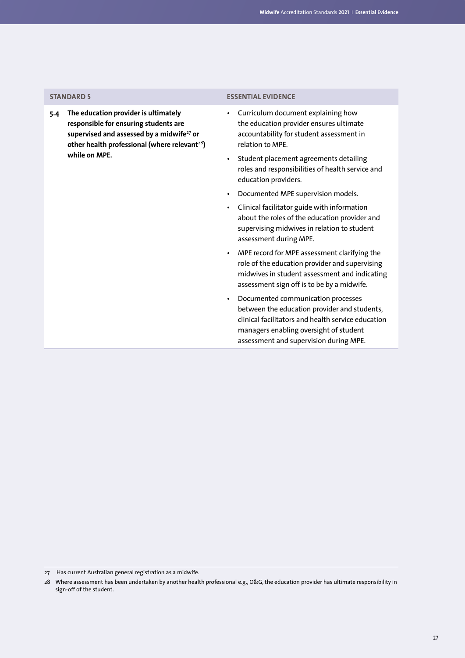**5.4 The education provider is ultimately responsible for ensuring students are supervised and assessed by a midwife**<sup>27</sup> **or other health professional (where relevant**<sup>28</sup>**) while on MPE.**

### **STANDARD 5 ESSENTIAL EVIDENCE**

- Curriculum document explaining how the education provider ensures ultimate accountability for student assessment in relation to MPE.
- Student placement agreements detailing roles and responsibilities of health service and education providers.
- Documented MPE supervision models.
- Clinical facilitator guide with information about the roles of the education provider and supervising midwives in relation to student assessment during MPE.
- MPE record for MPE assessment clarifying the role of the education provider and supervising midwives in student assessment and indicating assessment sign off is to be by a midwife.
- Documented communication processes between the education provider and students, clinical facilitators and health service education managers enabling oversight of student assessment and supervision during MPE.

<sup>27</sup> Has current Australian general registration as a midwife.

<sup>28</sup> Where assessment has been undertaken by another health professional e.g., O&G, the education provider has ultimate responsibility in sign-off of the student.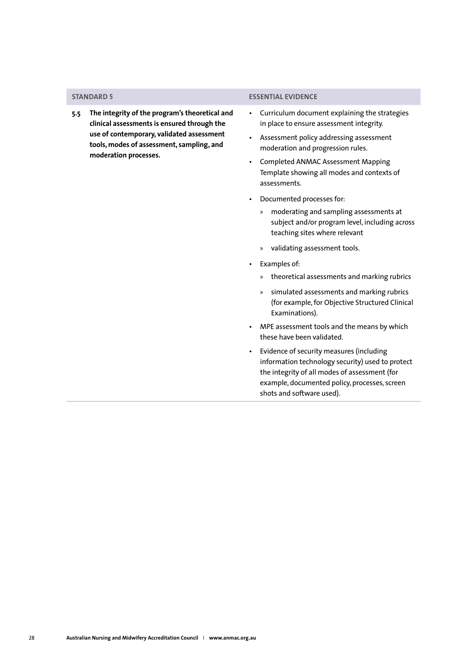**5.5 The integrity of the program's theoretical and clinical assessments is ensured through the use of contemporary, validated assessment tools, modes of assessment, sampling, and moderation processes.**

### <span id="page-29-0"></span>**STANDARD 5 ESSENTIAL EVIDENCE**

- Curriculum document explaining the strategies in place to ensure assessment integrity.
- Assessment policy addressing assessment moderation and progression rules.
- Completed ANMAC Assessment Mapping Template showing all modes and contexts of assessments.
- Documented processes for:
	- » moderating and sampling assessments at subject and/or program level, including across teaching sites where relevant
	- » validating assessment tools.
- Examples of:
	- » theoretical assessments and marking rubrics
	- » simulated assessments and marking rubrics (for example, for Objective Structured Clinical Examinations).
- MPE assessment tools and the means by which these have been validated.
- Evidence of security measures (including information technology security) used to protect the integrity of all modes of assessment (for example, documented policy, processes, screen shots and software used).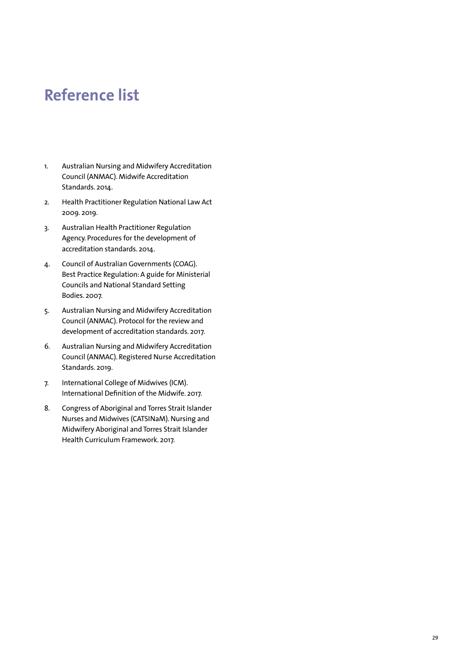# **Reference list**

- 1. Australian Nursing and Midwifery Accreditation Council (ANMAC). Midwife Accreditation Standards. 2014.
- 2. Health Practitioner Regulation National Law Act 2009. 2019.
- 3. Australian Health Practitioner Regulation Agency. Procedures for the development of accreditation standards. 2014.
- 4. Council of Australian Governments (COAG). Best Practice Regulation: A guide for Ministerial Councils and National Standard Setting Bodies. 2007.
- 5. Australian Nursing and Midwifery Accreditation Council (ANMAC). Protocol for the review and development of accreditation standards. 2017.
- 6. Australian Nursing and Midwifery Accreditation Council (ANMAC). Registered Nurse Accreditation Standards. 2019.
- 7. International College of Midwives (ICM). International Definition of the Midwife. 2017.
- 8. Congress of Aboriginal and Torres Strait Islander Nurses and Midwives (CATSINaM). Nursing and Midwifery Aboriginal and Torres Strait Islander Health Curriculum Framework. 2017.